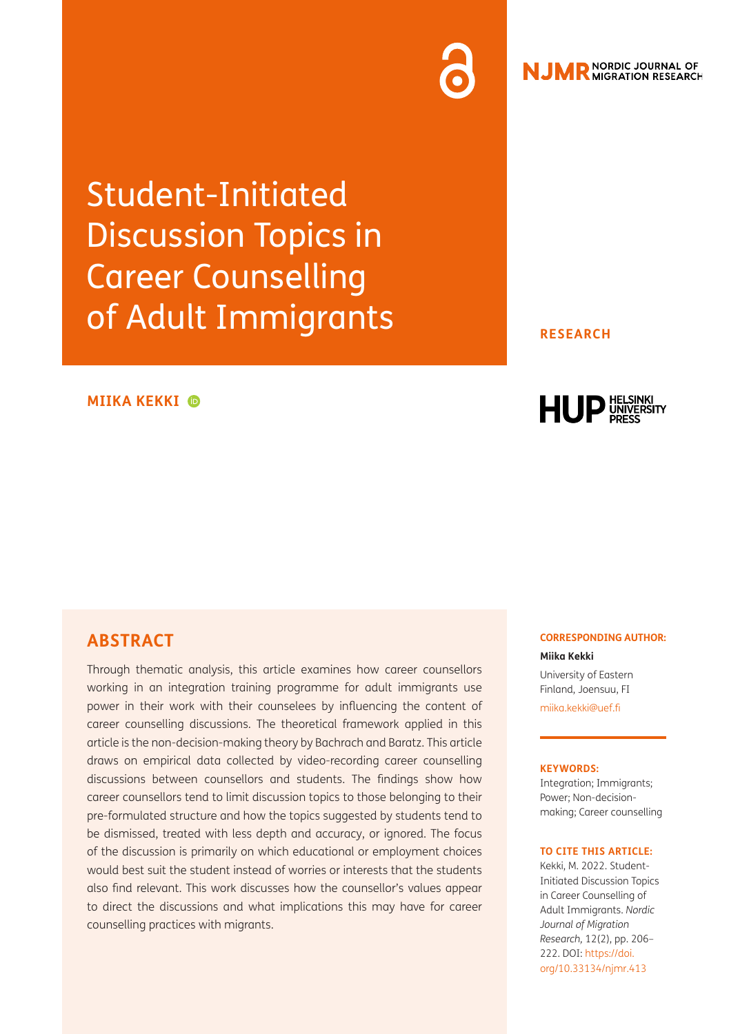Student-Initiated Discussion Topics in Career Counselling of Adult Immigrants

### **MIIKA KEKKI**

### **RESEARCH**



## **ABSTRACT**

Through thematic analysis, this article examines how career counsellors working in an integration training programme for adult immigrants use power in their work with their counselees by influencing the content of career counselling discussions. The theoretical framework applied in this article is the non-decision-making theory by Bachrach and Baratz. This article draws on empirical data collected by video-recording career counselling discussions between counsellors and students. The findings show how career counsellors tend to limit discussion topics to those belonging to their pre-formulated structure and how the topics suggested by students tend to be dismissed, treated with less depth and accuracy, or ignored. The focus of the discussion is primarily on which educational or employment choices would best suit the student instead of worries or interests that the students also find relevant. This work discusses how the counsellor's values appear to direct the discussions and what implications this may have for career counselling practices with migrants.

### **CORRESPONDING AUTHOR:**

**Miika Kekki** University of Eastern Finland, Joensuu, FI [miika.kekki@uef.fi](mailto:miika.kekki@uef.fi)

### **KEYWORDS:**

Integration; Immigrants; Power; Non-decisionmaking; Career counselling

#### **TO CITE THIS ARTICLE:**

Kekki, M. 2022. Student-Initiated Discussion Topics in Career Counselling of Adult Immigrants. *Nordic Journal of Migration Research,* 12(2), pp. 206– 222. DOI: [https://doi.](https://doi.org/10.33134/njmr.413) [org/10.33134/njmr.413](https://doi.org/10.33134/njmr.413)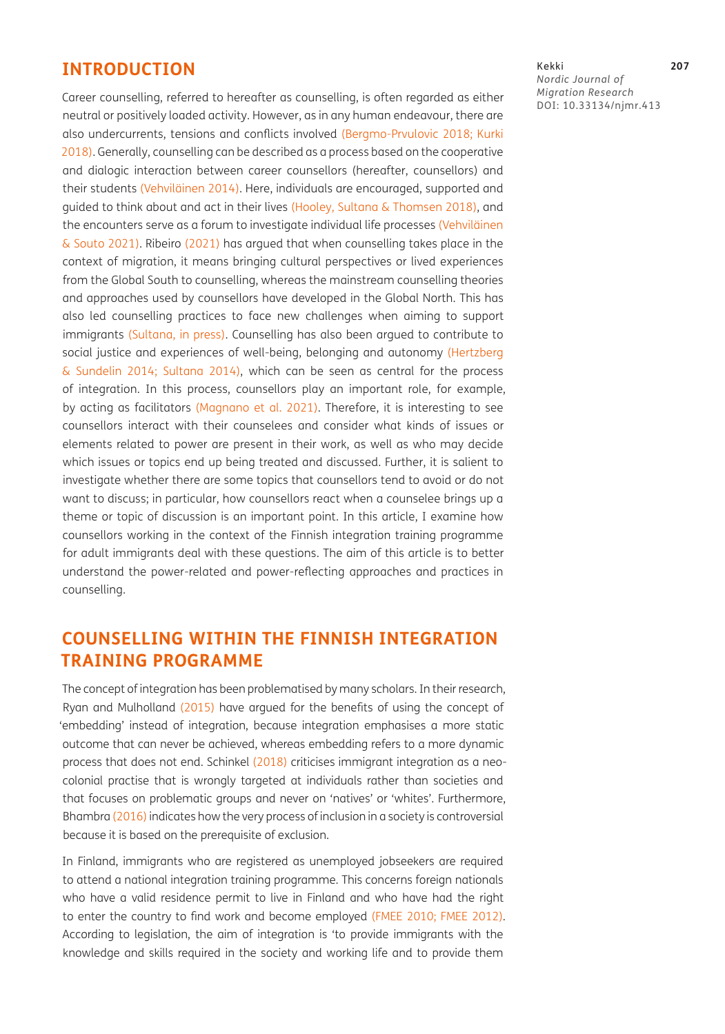## **INTRODUCTION**

Career counselling, referred to hereafter as counselling, is often regarded as either neutral or positively loaded activity. However, as in any human endeavour, there are also undercurrents, tensions and conflicts involved ([Bergmo-Prvulovic 2018;](#page-14-0) [Kurki](#page-14-1)  [2018\)](#page-14-1). Generally, counselling can be described as a process based on the cooperative and dialogic interaction between career counsellors (hereafter, counsellors) and their students ([Vehviläinen 2014](#page-16-0)). Here, individuals are encouraged, supported and guided to think about and act in their lives [\(Hooley, Sultana & Thomsen 2018\)](#page-14-2), and the encounters serve as a forum to investigate individual life processes ([Vehviläinen](#page-16-1)  [& Souto 2021\)](#page-16-1). Ribeiro [\(2021\)](#page-15-0) has argued that when counselling takes place in the context of migration, it means bringing cultural perspectives or lived experiences from the Global South to counselling, whereas the mainstream counselling theories and approaches used by counsellors have developed in the Global North. This has also led counselling practices to face new challenges when aiming to support immigrants ([Sultana, in press\)](#page-16-2). Counselling has also been argued to contribute to social justice and experiences of well-being, belonging and autonomy (Hertzberg & Sundelin 2014; [Sultana 2014\)](#page-16-3), which can be seen as central for the process of integration. In this process, counsellors play an important role, for example, by acting as facilitators ([Magnano et al. 2021](#page-15-1)). Therefore, it is interesting to see counsellors interact with their counselees and consider what kinds of issues or elements related to power are present in their work, as well as who may decide which issues or topics end up being treated and discussed. Further, it is salient to investigate whether there are some topics that counsellors tend to avoid or do not want to discuss; in particular, how counsellors react when a counselee brings up a theme or topic of discussion is an important point. In this article, I examine how counsellors working in the context of the Finnish integration training programme for adult immigrants deal with these questions. The aim of this article is to better understand the power-related and power-reflecting approaches and practices in counselling.

# **COUNSELLING WITHIN THE FINNISH INTEGRATION TRAINING PROGRAMME**

The concept of integration has been problematised by many scholars. In their research, Ryan and Mulholland [\(2015](#page-15-2)) have argued for the benefits of using the concept of 'embedding' instead of integration, because integration emphasises a more static outcome that can never be achieved, whereas embedding refers to a more dynamic process that does not end. Schinkel ([2018](#page-15-3)) criticises immigrant integration as a neocolonial practise that is wrongly targeted at individuals rather than societies and that focuses on problematic groups and never on 'natives' or 'whites'. Furthermore, Bhambra ([2016](#page-14-3)) indicates how the very process of inclusion in a society is controversial because it is based on the prerequisite of exclusion.

In Finland, immigrants who are registered as unemployed jobseekers are required to attend a national integration training programme. This concerns foreign nationals who have a valid residence permit to live in Finland and who have had the right to enter the country to find work and become employed [\(FMEE 2010](#page-14-4); [FMEE 2012\)](#page-14-5). According to legislation, the aim of integration is 'to provide immigrants with the knowledge and skills required in the society and working life and to provide them

Kekki **207** *Nordic Journal of Migration Research* DOI: [10.33134/njmr.413](https://doi.org/10.33134/njmr.413)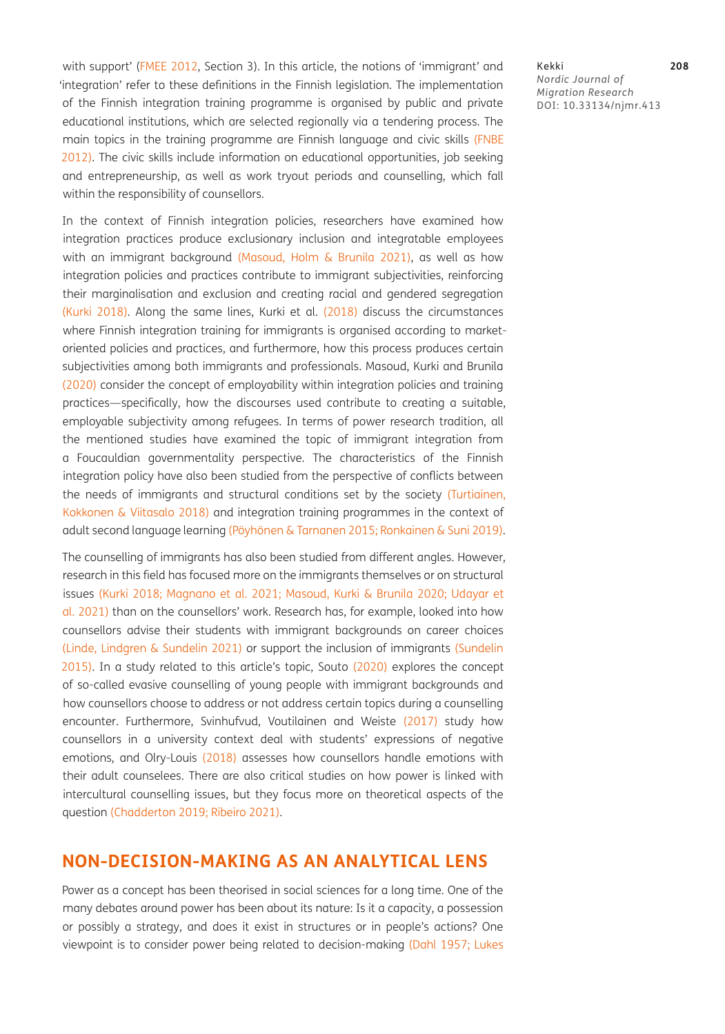with support' ([FMEE 2012](#page-14-5), Section 3). In this article, the notions of 'immigrant' and 'integration' refer to these definitions in the Finnish legislation. The implementation of the Finnish integration training programme is organised by public and private educational institutions, which are selected regionally via a tendering process. The main topics in the training programme are Finnish language and civic skills [\(FNBE](#page-14-6) [2012](#page-14-6)). The civic skills include information on educational opportunities, job seeking and entrepreneurship, as well as work tryout periods and counselling, which fall within the responsibility of counsellors.

In the context of Finnish integration policies, researchers have examined how integration practices produce exclusionary inclusion and integratable employees with an immigrant background [\(Masoud, Holm & Brunila 2021\)](#page-15-4), as well as how integration policies and practices contribute to immigrant subjectivities, reinforcing their marginalisation and exclusion and creating racial and gendered segregation [\(Kurki 2018\)](#page-14-1). Along the same lines, Kurki et al. [\(2018](#page-15-5)) discuss the circumstances where Finnish integration training for immigrants is organised according to marketoriented policies and practices, and furthermore, how this process produces certain subjectivities among both immigrants and professionals. Masoud, Kurki and Brunila [\(2020\)](#page-15-6) consider the concept of employability within integration policies and training practices—specifically, how the discourses used contribute to creating a suitable, employable subjectivity among refugees. In terms of power research tradition, all the mentioned studies have examined the topic of immigrant integration from a Foucauldian governmentality perspective. The characteristics of the Finnish integration policy have also been studied from the perspective of conflicts between the needs of immigrants and structural conditions set by the society ([Turtiainen,](#page-16-4) [Kokkonen & Viitasalo 2018\)](#page-16-4) and integration training programmes in the context of adult second language learning (Pöyhönen & Tarnanen 2015; [Ronkainen & Suni 2019\)](#page-15-7).

The counselling of immigrants has also been studied from different angles. However, research in this field has focused more on the immigrants themselves or on structural issues [\(Kurki 2018](#page-14-1); [Magnano et al. 2021;](#page-15-1) [Masoud, Kurki & Brunila 2020](#page-15-6); [Udayar et](#page-16-5) [al. 2021\)](#page-16-5) than on the counsellors' work. Research has, for example, looked into how counsellors advise their students with immigrant backgrounds on career choices (Linde, Lindgren & Sundelin 2021) or support the inclusion of immigrants (Sundelin 2015). In a study related to this article's topic, Souto [\(2020\)](#page-15-8) explores the concept of so-called evasive counselling of young people with immigrant backgrounds and how counsellors choose to address or not address certain topics during a counselling encounter. Furthermore, Svinhufvud, Voutilainen and Weiste ([2017](#page-16-6)) study how counsellors in a university context deal with students' expressions of negative emotions, and Olry-Louis [\(2018\)](#page-15-9) assesses how counsellors handle emotions with their adult counselees. There are also critical studies on how power is linked with intercultural counselling issues, but they focus more on theoretical aspects of the question [\(Chadderton 2019;](#page-14-7) [Ribeiro 2021\)](#page-15-0).

# **NON-DECISION-MAKING AS AN ANALYTICAL LENS**

Power as a concept has been theorised in social sciences for a long time. One of the many debates around power has been about its nature: Is it a capacity, a possession or possibly a strategy, and does it exist in structures or in people's actions? One viewpoint is to consider power being related to decision-making ([Dahl 1957](#page-14-8); [Lukes](#page-15-10)  Kekki **208** *Nordic Journal of Migration Research* DOI: [10.33134/njmr.413](https://doi.org/10.33134/njmr.413)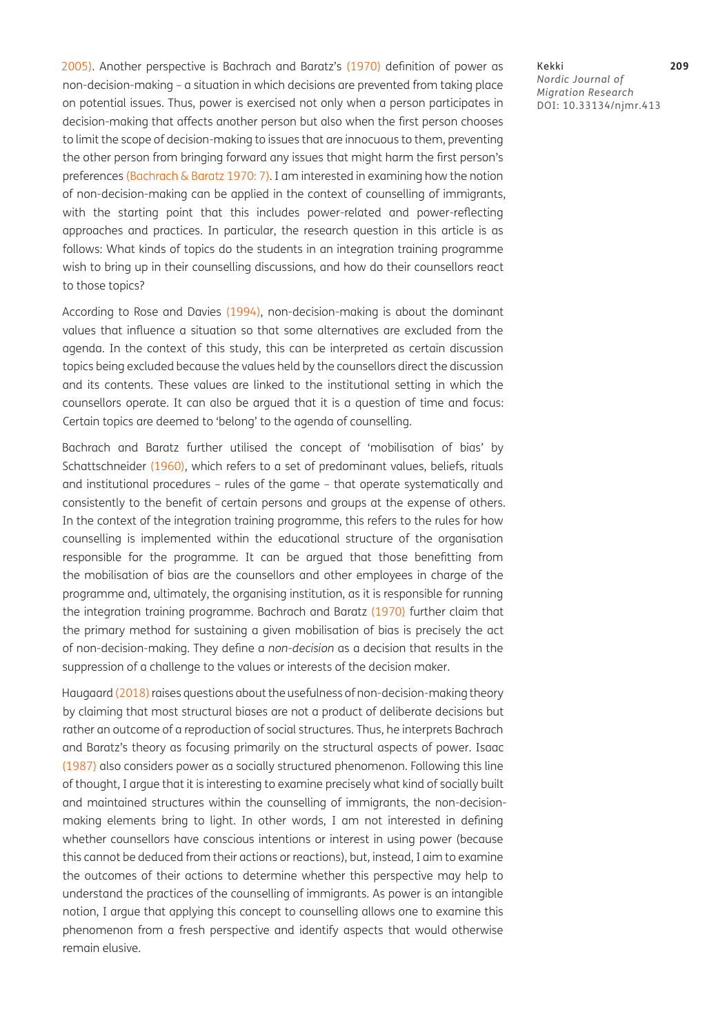[2005](#page-15-10)). Another perspective is Bachrach and Baratz's ([1970](#page-13-0)) definition of power as non-decision-making – a situation in which decisions are prevented from taking place on potential issues. Thus, power is exercised not only when a person participates in decision-making that affects another person but also when the first person chooses to limit the scope of decision-making to issues that are innocuous to them, preventing the other person from bringing forward any issues that might harm the first person's preferences ([Bachrach & Baratz 1970: 7\)](#page-13-0). I am interested in examining how the notion of non-decision-making can be applied in the context of counselling of immigrants, with the starting point that this includes power-related and power-reflecting approaches and practices. In particular, the research question in this article is as follows: What kinds of topics do the students in an integration training programme wish to bring up in their counselling discussions, and how do their counsellors react to those topics?

According to Rose and Davies [\(1994\)](#page-15-11), non-decision-making is about the dominant values that influence a situation so that some alternatives are excluded from the agenda. In the context of this study, this can be interpreted as certain discussion topics being excluded because the values held by the counsellors direct the discussion and its contents. These values are linked to the institutional setting in which the counsellors operate. It can also be argued that it is a question of time and focus: Certain topics are deemed to 'belong' to the agenda of counselling.

Bachrach and Baratz further utilised the concept of 'mobilisation of bias' by Schattschneider ([1960\)](#page-15-12), which refers to a set of predominant values, beliefs, rituals and institutional procedures – rules of the game – that operate systematically and consistently to the benefit of certain persons and groups at the expense of others. In the context of the integration training programme, this refers to the rules for how counselling is implemented within the educational structure of the organisation responsible for the programme. It can be argued that those benefitting from the mobilisation of bias are the counsellors and other employees in charge of the programme and, ultimately, the organising institution, as it is responsible for running the integration training programme. Bachrach and Baratz ([1970](#page-13-0)) further claim that the primary method for sustaining a given mobilisation of bias is precisely the act of non-decision-making. They define a *non-decision* as a decision that results in the suppression of a challenge to the values or interests of the decision maker.

Haugaard ([2018\)](#page-14-9) raises questions about the usefulness of non-decision-making theory by claiming that most structural biases are not a product of deliberate decisions but rather an outcome of a reproduction of social structures. Thus, he interprets Bachrach and Baratz's theory as focusing primarily on the structural aspects of power. Isaac [\(1987\)](#page-14-10) also considers power as a socially structured phenomenon. Following this line of thought, I argue that it is interesting to examine precisely what kind of socially built and maintained structures within the counselling of immigrants, the non-decisionmaking elements bring to light. In other words, I am not interested in defining whether counsellors have conscious intentions or interest in using power (because this cannot be deduced from their actions or reactions), but, instead, I aim to examine the outcomes of their actions to determine whether this perspective may help to understand the practices of the counselling of immigrants. As power is an intangible notion, I argue that applying this concept to counselling allows one to examine this phenomenon from a fresh perspective and identify aspects that would otherwise remain elusive.

Kekki **209** *Nordic Journal of Migration Research* DOI: [10.33134/njmr.413](https://doi.org/10.33134/njmr.413)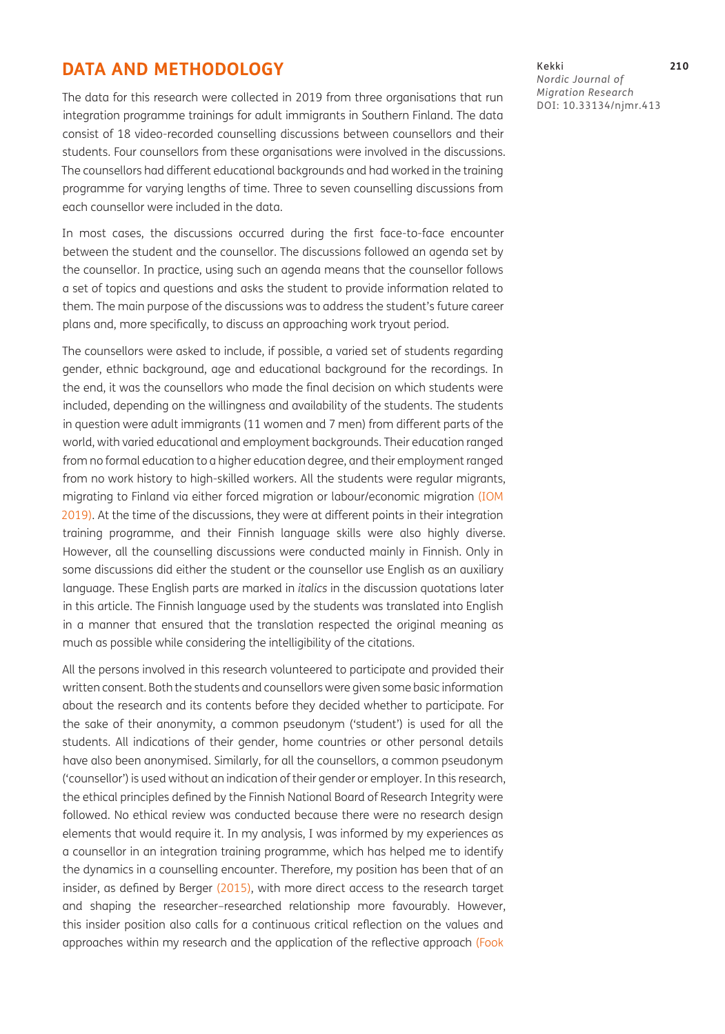# **DATA AND METHODOLOGY**

The data for this research were collected in 2019 from three organisations that run integration programme trainings for adult immigrants in Southern Finland. The data consist of 18 video-recorded counselling discussions between counsellors and their students. Four counsellors from these organisations were involved in the discussions. The counsellors had different educational backgrounds and had worked in the training programme for varying lengths of time. Three to seven counselling discussions from each counsellor were included in the data.

In most cases, the discussions occurred during the first face-to-face encounter between the student and the counsellor. The discussions followed an agenda set by the counsellor. In practice, using such an agenda means that the counsellor follows a set of topics and questions and asks the student to provide information related to them. The main purpose of the discussions was to address the student's future career plans and, more specifically, to discuss an approaching work tryout period.

The counsellors were asked to include, if possible, a varied set of students regarding gender, ethnic background, age and educational background for the recordings. In the end, it was the counsellors who made the final decision on which students were included, depending on the willingness and availability of the students. The students in question were adult immigrants (11 women and 7 men) from different parts of the world, with varied educational and employment backgrounds. Their education ranged from no formal education to a higher education degree, and their employment ranged from no work history to high-skilled workers. All the students were regular migrants, migrating to Finland via either forced migration or labour/economic migration ([IOM](#page-14-11)  [2019](#page-14-11)). At the time of the discussions, they were at different points in their integration training programme, and their Finnish language skills were also highly diverse. However, all the counselling discussions were conducted mainly in Finnish. Only in some discussions did either the student or the counsellor use English as an auxiliary language. These English parts are marked in *italics* in the discussion quotations later in this article. The Finnish language used by the students was translated into English in a manner that ensured that the translation respected the original meaning as much as possible while considering the intelligibility of the citations.

All the persons involved in this research volunteered to participate and provided their written consent. Both the students and counsellors were given some basic information about the research and its contents before they decided whether to participate. For the sake of their anonymity, a common pseudonym ('student') is used for all the students. All indications of their gender, home countries or other personal details have also been anonymised. Similarly, for all the counsellors, a common pseudonym ('counsellor') is used without an indication of their gender or employer. In this research, the ethical principles defined by the Finnish National Board of Research Integrity were followed. No ethical review was conducted because there were no research design elements that would require it. In my analysis, I was informed by my experiences as a counsellor in an integration training programme, which has helped me to identify the dynamics in a counselling encounter. Therefore, my position has been that of an insider, as defined by Berger ([2015](#page-13-1)), with more direct access to the research target and shaping the researcher–researched relationship more favourably. However, this insider position also calls for a continuous critical reflection on the values and approaches within my research and the application of the reflective approach [\(Fook](#page-14-12) 

Kekki **210** *Nordic Journal of Migration Research* DOI: [10.33134/njmr.413](https://doi.org/10.33134/njmr.413)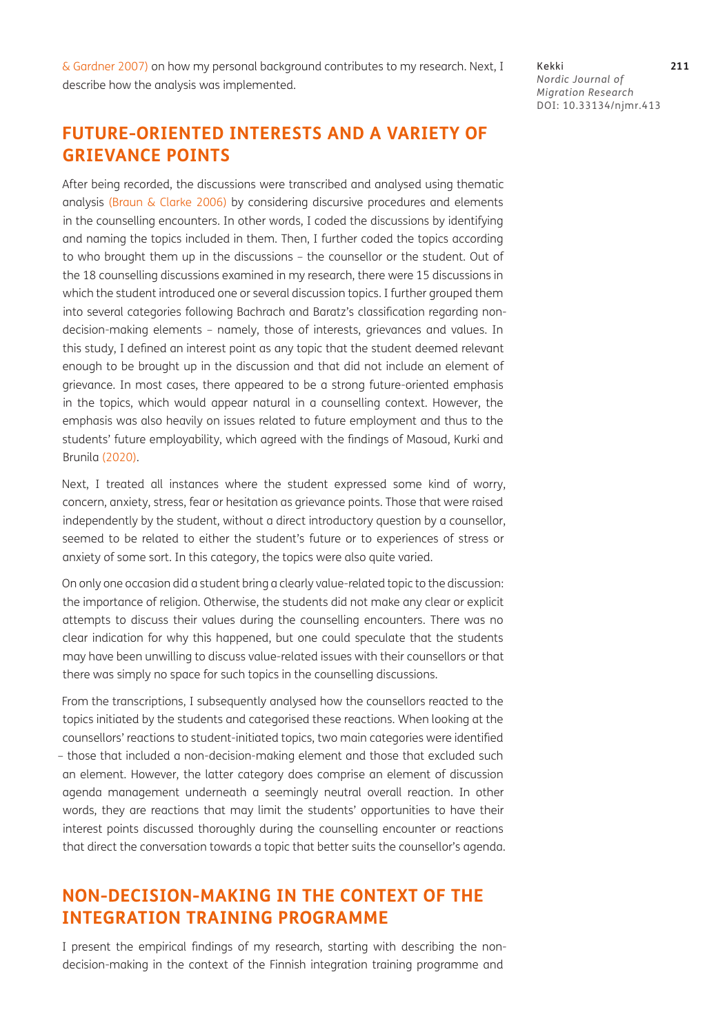Kekki **211** *Nordic Journal of Migration Research* DOI: [10.33134/njmr.413](https://doi.org/10.33134/njmr.413)

# **FUTURE-ORIENTED INTERESTS AND A VARIETY OF GRIEVANCE POINTS**

After being recorded, the discussions were transcribed and analysed using thematic analysis ([Braun & Clarke 2006\)](#page-14-13) by considering discursive procedures and elements in the counselling encounters. In other words, I coded the discussions by identifying and naming the topics included in them. Then, I further coded the topics according to who brought them up in the discussions – the counsellor or the student. Out of the 18 counselling discussions examined in my research, there were 15 discussions in which the student introduced one or several discussion topics. I further grouped them into several categories following Bachrach and Baratz's classification regarding nondecision-making elements – namely, those of interests, grievances and values. In this study, I defined an interest point as any topic that the student deemed relevant enough to be brought up in the discussion and that did not include an element of grievance. In most cases, there appeared to be a strong future-oriented emphasis in the topics, which would appear natural in a counselling context. However, the emphasis was also heavily on issues related to future employment and thus to the students' future employability, which agreed with the findings of Masoud, Kurki and Brunila ([2020\)](#page-15-6).

Next, I treated all instances where the student expressed some kind of worry, concern, anxiety, stress, fear or hesitation as grievance points. Those that were raised independently by the student, without a direct introductory question by a counsellor, seemed to be related to either the student's future or to experiences of stress or anxiety of some sort. In this category, the topics were also quite varied.

On only one occasion did a student bring a clearly value-related topic to the discussion: the importance of religion. Otherwise, the students did not make any clear or explicit attempts to discuss their values during the counselling encounters. There was no clear indication for why this happened, but one could speculate that the students may have been unwilling to discuss value-related issues with their counsellors or that there was simply no space for such topics in the counselling discussions.

From the transcriptions, I subsequently analysed how the counsellors reacted to the topics initiated by the students and categorised these reactions. When looking at the counsellors' reactions to student-initiated topics, two main categories were identified – those that included a non-decision-making element and those that excluded such an element. However, the latter category does comprise an element of discussion agenda management underneath a seemingly neutral overall reaction. In other words, they are reactions that may limit the students' opportunities to have their interest points discussed thoroughly during the counselling encounter or reactions that direct the conversation towards a topic that better suits the counsellor's agenda.

# **NON-DECISION-MAKING IN THE CONTEXT OF THE INTEGRATION TRAINING PROGRAMME**

I present the empirical findings of my research, starting with describing the nondecision-making in the context of the Finnish integration training programme and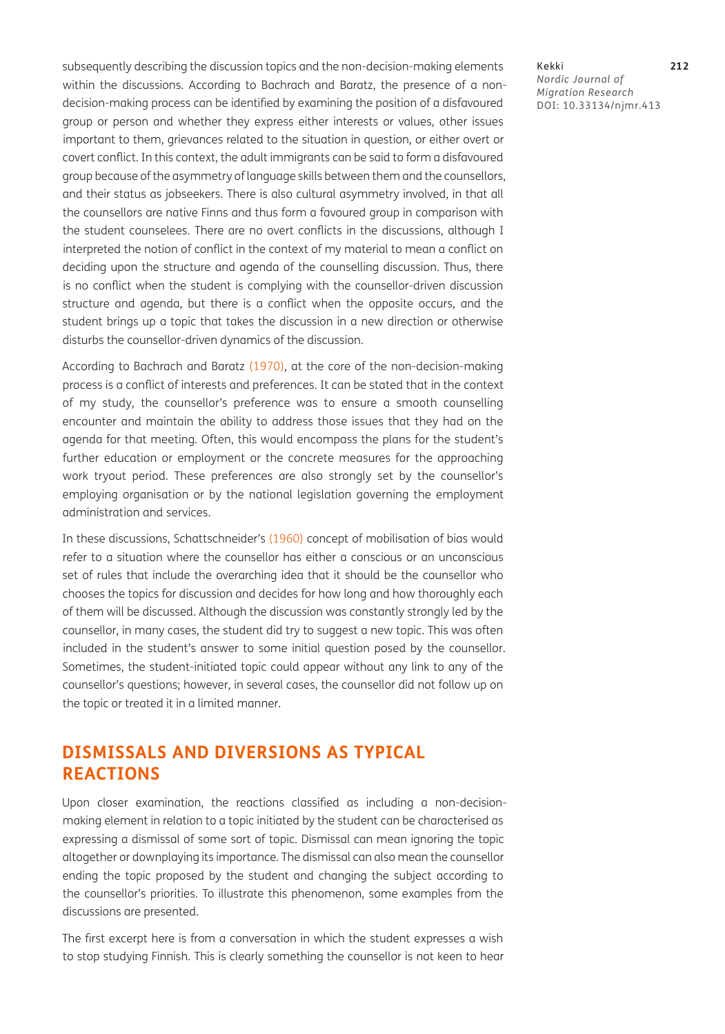subsequently describing the discussion topics and the non-decision-making elements within the discussions. According to Bachrach and Baratz, the presence of a nondecision-making process can be identified by examining the position of a disfavoured group or person and whether they express either interests or values, other issues important to them, grievances related to the situation in question, or either overt or covert conflict. In this context, the adult immigrants can be said to form a disfavoured group because of the asymmetry of language skills between them and the counsellors, and their status as jobseekers. There is also cultural asymmetry involved, in that all the counsellors are native Finns and thus form a favoured group in comparison with the student counselees. There are no overt conflicts in the discussions, although I interpreted the notion of conflict in the context of my material to mean a conflict on deciding upon the structure and agenda of the counselling discussion. Thus, there is no conflict when the student is complying with the counsellor-driven discussion structure and agenda, but there is a conflict when the opposite occurs, and the student brings up a topic that takes the discussion in a new direction or otherwise disturbs the counsellor-driven dynamics of the discussion.

According to Bachrach and Baratz [\(1970\)](#page-13-0), at the core of the non-decision-making process is a conflict of interests and preferences. It can be stated that in the context of my study, the counsellor's preference was to ensure a smooth counselling encounter and maintain the ability to address those issues that they had on the agenda for that meeting. Often, this would encompass the plans for the student's further education or employment or the concrete measures for the approaching work tryout period. These preferences are also strongly set by the counsellor's employing organisation or by the national legislation governing the employment administration and services.

In these discussions, Schattschneider's ([1960](#page-15-12)) concept of mobilisation of bias would refer to a situation where the counsellor has either a conscious or an unconscious set of rules that include the overarching idea that it should be the counsellor who chooses the topics for discussion and decides for how long and how thoroughly each of them will be discussed. Although the discussion was constantly strongly led by the counsellor, in many cases, the student did try to suggest a new topic. This was often included in the student's answer to some initial question posed by the counsellor. Sometimes, the student-initiated topic could appear without any link to any of the counsellor's questions; however, in several cases, the counsellor did not follow up on the topic or treated it in a limited manner.

# **DISMISSALS AND DIVERSIONS AS TYPICAL REACTIONS**

Upon closer examination, the reactions classified as including a non-decisionmaking element in relation to a topic initiated by the student can be characterised as expressing a dismissal of some sort of topic. Dismissal can mean ignoring the topic altogether or downplaying its importance. The dismissal can also mean the counsellor ending the topic proposed by the student and changing the subject according to the counsellor's priorities. To illustrate this phenomenon, some examples from the discussions are presented.

The first excerpt here is from a conversation in which the student expresses a wish to stop studying Finnish. This is clearly something the counsellor is not keen to hear

#### Kekki **212** *Nordic Journal of Migration Research* DOI: [10.33134/njmr.413](https://doi.org/10.33134/njmr.413)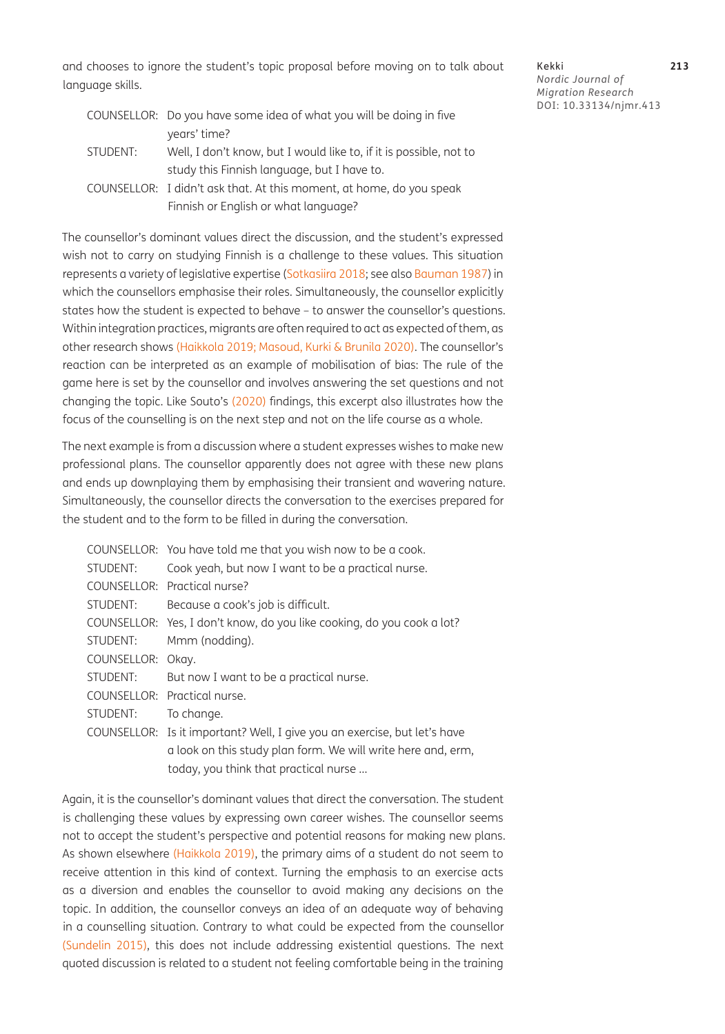and chooses to ignore the student's topic proposal before moving on to talk about language skills.

Kekki **213** *Nordic Journal of Migration Research* DOI: [10.33134/njmr.413](https://doi.org/10.33134/njmr.413)

|          | COUNSELLOR: Do you have some idea of what you will be doing in five  |
|----------|----------------------------------------------------------------------|
|          | years' time?                                                         |
| STUDENT: | Well, I don't know, but I would like to, if it is possible, not to   |
|          | study this Finnish language, but I have to.                          |
|          | COUNSELLOR: I didn't ask that. At this moment, at home, do you speak |
|          | Finnish or English or what language?                                 |

The counsellor's dominant values direct the discussion, and the student's expressed wish not to carry on studying Finnish is a challenge to these values. This situation represents a variety of legislative expertise [\(Sotkasiira 2018](#page-15-13); see also [Bauman 1987](#page-13-2)) in which the counsellors emphasise their roles. Simultaneously, the counsellor explicitly states how the student is expected to behave – to answer the counsellor's questions. Within integration practices, migrants are often required to act as expected of them, as other research shows [\(Haikkola 2019;](#page-14-14) [Masoud, Kurki & Brunila 2020](#page-15-6)). The counsellor's reaction can be interpreted as an example of mobilisation of bias: The rule of the game here is set by the counsellor and involves answering the set questions and not changing the topic. Like Souto's [\(2020\)](#page-15-8) findings, this excerpt also illustrates how the focus of the counselling is on the next step and not on the life course as a whole.

The next example is from a discussion where a student expresses wishes to make new professional plans. The counsellor apparently does not agree with these new plans and ends up downplaying them by emphasising their transient and wavering nature. Simultaneously, the counsellor directs the conversation to the exercises prepared for the student and to the form to be filled in during the conversation.

|             | COUNSELLOR: You have told me that you wish now to be a cook.              |
|-------------|---------------------------------------------------------------------------|
| STUDENT:    | Cook yeah, but now I want to be a practical nurse.                        |
|             | COUNSELLOR: Practical nurse?                                              |
| STUDENT:    | Because a cook's job is difficult.                                        |
|             | COUNSELLOR: Yes, I don't know, do you like cooking, do you cook a lot?    |
| STUDENT:    | Mmm (nodding).                                                            |
| COUNSELLOR: | Okay.                                                                     |
| STUDENT:    | But now I want to be a practical nurse.                                   |
|             | COUNSELLOR: Practical nurse.                                              |
| STUDENT:    | To change.                                                                |
|             | COUNSELLOR: Is it important? Well, I give you an exercise, but let's have |
|             | a look on this study plan form. We will write here and, erm,              |
|             | today, you think that practical nurse                                     |

Again, it is the counsellor's dominant values that direct the conversation. The student is challenging these values by expressing own career wishes. The counsellor seems not to accept the student's perspective and potential reasons for making new plans. As shown elsewhere [\(Haikkola 2019\)](#page-14-14), the primary aims of a student do not seem to receive attention in this kind of context. Turning the emphasis to an exercise acts as a diversion and enables the counsellor to avoid making any decisions on the topic. In addition, the counsellor conveys an idea of an adequate way of behaving in a counselling situation. Contrary to what could be expected from the counsellor (Sundelin 2015), this does not include addressing existential questions. The next quoted discussion is related to a student not feeling comfortable being in the training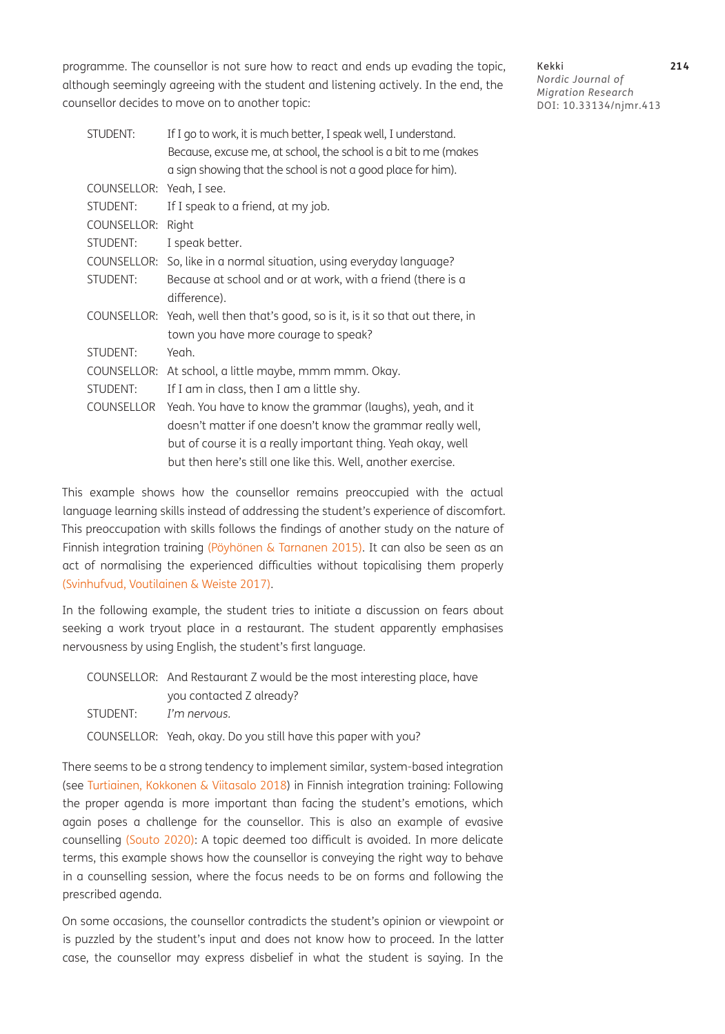programme. The counsellor is not sure how to react and ends up evading the topic, although seemingly agreeing with the student and listening actively. In the end, the counsellor decides to move on to another topic:

STUDENT: If I go to work, it is much better, I speak well, I understand. Because, excuse me, at school, the school is a bit to me (makes a sign showing that the school is not a good place for him). COUNSELLOR: Yeah, I see. STUDENT: If I speak to a friend, at my job. COUNSELLOR: Right STUDENT: I speak better. COUNSELLOR: So, like in a normal situation, using everyday language? STUDENT: Because at school and or at work, with a friend (there is a difference). COUNSELLOR: Yeah, well then that's good, so is it, is it so that out there, in town you have more courage to speak? STUDENT: Yeah. COUNSELLOR: At school, a little maybe, mmm mmm. Okay. STUDENT: If I am in class, then I am a little shy. COUNSELLOR Yeah. You have to know the grammar (laughs), yeah, and it doesn't matter if one doesn't know the grammar really well, but of course it is a really important thing. Yeah okay, well but then here's still one like this. Well, another exercise.

This example shows how the counsellor remains preoccupied with the actual language learning skills instead of addressing the student's experience of discomfort. This preoccupation with skills follows the findings of another study on the nature of Finnish integration training (Pöyhönen & Tarnanen 2015). It can also be seen as an act of normalising the experienced difficulties without topicalising them properly [\(Svinhufvud, Voutilainen & Weiste 2017\)](#page-16-6).

In the following example, the student tries to initiate a discussion on fears about seeking a work tryout place in a restaurant. The student apparently emphasises nervousness by using English, the student's first language.

|          | COUNSELLOR: And Restaurant Z would be the most interesting place, have |
|----------|------------------------------------------------------------------------|
|          | you contacted Z already?                                               |
| STUDENT: | I'm nervous.                                                           |
|          | COUNSELLOR: Yeah, okay. Do you still have this paper with you?         |

There seems to be a strong tendency to implement similar, system-based integration (see [Turtiainen, Kokkonen & Viitasalo 2018](#page-16-4)) in Finnish integration training: Following the proper agenda is more important than facing the student's emotions, which again poses a challenge for the counsellor. This is also an example of evasive counselling ([Souto 2020\)](#page-15-8): A topic deemed too difficult is avoided. In more delicate terms, this example shows how the counsellor is conveying the right way to behave in a counselling session, where the focus needs to be on forms and following the prescribed agenda.

On some occasions, the counsellor contradicts the student's opinion or viewpoint or is puzzled by the student's input and does not know how to proceed. In the latter case, the counsellor may express disbelief in what the student is saying. In the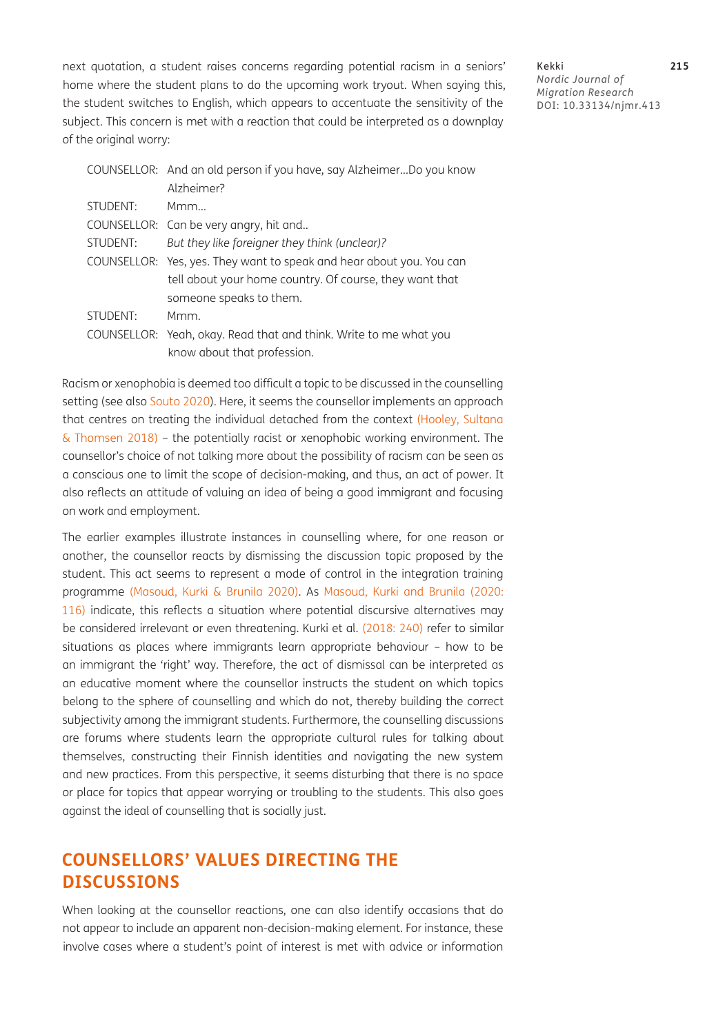next quotation, a student raises concerns regarding potential racism in a seniors' home where the student plans to do the upcoming work tryout. When saying this, the student switches to English, which appears to accentuate the sensitivity of the subject. This concern is met with a reaction that could be interpreted as a downplay of the original worry:

Kekki **215** *Nordic Journal of Migration Research* DOI: [10.33134/njmr.413](https://doi.org/10.33134/njmr.413)

|          | COUNSELLOR: And an old person if you have, say AlzheimerDo you know  |
|----------|----------------------------------------------------------------------|
|          | Alzheimer?                                                           |
| STUDENT: | Mmm.                                                                 |
|          | COUNSELLOR: Can be very angry, hit and                               |
| STUDENT: | But they like foreigner they think (unclear)?                        |
|          | COUNSELLOR: Yes, yes. They want to speak and hear about you. You can |
|          | tell about your home country. Of course, they want that              |
|          | someone speaks to them.                                              |
| STUDENT: | Mmm.                                                                 |
|          | COUNSELLOR: Yeah, okay. Read that and think. Write to me what you    |
|          | know about that profession.                                          |

Racism or xenophobia is deemed too difficult a topic to be discussed in the counselling setting (see also [Souto 2020\)](#page-15-8). Here, it seems the counsellor implements an approach that centres on treating the individual detached from the context [\(Hooley, Sultana](#page-14-2)  [& Thomsen 2018\)](#page-14-2) – the potentially racist or xenophobic working environment. The counsellor's choice of not talking more about the possibility of racism can be seen as a conscious one to limit the scope of decision-making, and thus, an act of power. It also reflects an attitude of valuing an idea of being a good immigrant and focusing on work and employment.

The earlier examples illustrate instances in counselling where, for one reason or another, the counsellor reacts by dismissing the discussion topic proposed by the student. This act seems to represent a mode of control in the integration training programme [\(Masoud, Kurki & Brunila 2020\)](#page-15-6). As [Masoud, Kurki and Brunila \(2020:](#page-15-6) [116](#page-15-6)) indicate, this reflects a situation where potential discursive alternatives may be considered irrelevant or even threatening. Kurki et al. ([2018: 240](#page-15-5)) refer to similar situations as places where immigrants learn appropriate behaviour – how to be an immigrant the 'right' way. Therefore, the act of dismissal can be interpreted as an educative moment where the counsellor instructs the student on which topics belong to the sphere of counselling and which do not, thereby building the correct subjectivity among the immigrant students. Furthermore, the counselling discussions are forums where students learn the appropriate cultural rules for talking about themselves, constructing their Finnish identities and navigating the new system and new practices. From this perspective, it seems disturbing that there is no space or place for topics that appear worrying or troubling to the students. This also goes against the ideal of counselling that is socially just.

# **COUNSELLORS' VALUES DIRECTING THE DISCUSSIONS**

When looking at the counsellor reactions, one can also identify occasions that do not appear to include an apparent non-decision-making element. For instance, these involve cases where a student's point of interest is met with advice or information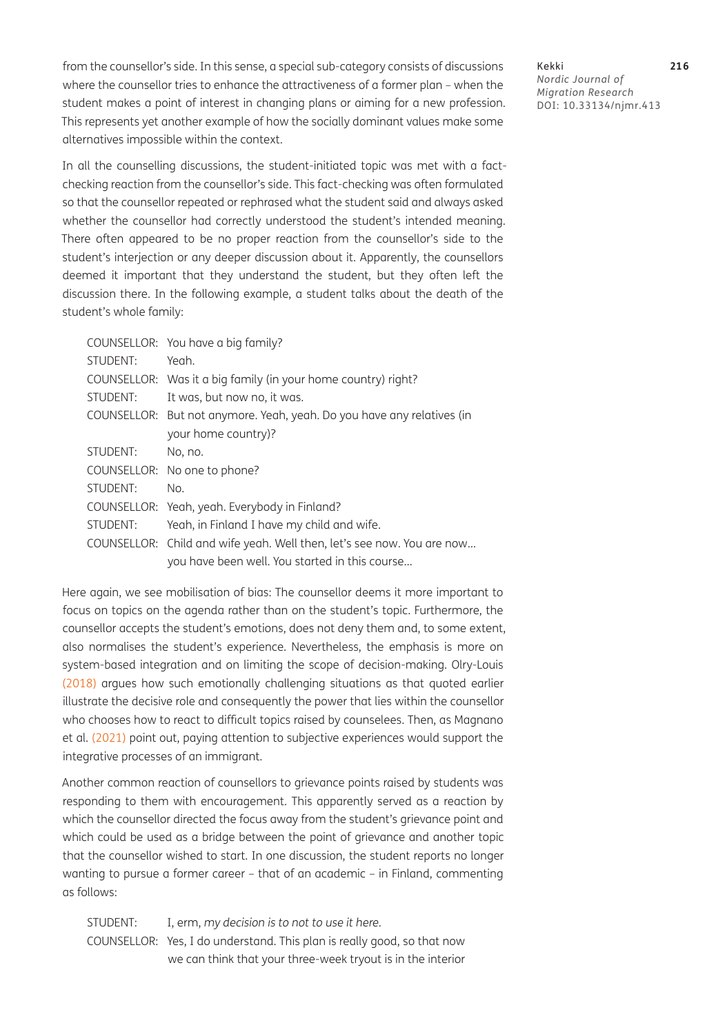from the counsellor's side. In this sense, a special sub-category consists of discussions where the counsellor tries to enhance the attractiveness of a former plan – when the student makes a point of interest in changing plans or aiming for a new profession. This represents yet another example of how the socially dominant values make some alternatives impossible within the context.

In all the counselling discussions, the student-initiated topic was met with a factchecking reaction from the counsellor's side. This fact-checking was often formulated so that the counsellor repeated or rephrased what the student said and always asked whether the counsellor had correctly understood the student's intended meaning. There often appeared to be no proper reaction from the counsellor's side to the student's interjection or any deeper discussion about it. Apparently, the counsellors deemed it important that they understand the student, but they often left the discussion there. In the following example, a student talks about the death of the student's whole family:

|          | COUNSELLOR: You have a big family?                                     |
|----------|------------------------------------------------------------------------|
| STUDENT: | Yeah.                                                                  |
|          | COUNSELLOR: Was it a big family (in your home country) right?          |
| STUDENT: | It was, but now no, it was.                                            |
|          | COUNSELLOR: But not anymore. Yeah, yeah. Do you have any relatives (in |
|          | your home country)?                                                    |
| STUDENT: | No, no.                                                                |
|          | COUNSELLOR: No one to phone?                                           |
| STUDENT: | No.                                                                    |
|          | COUNSELLOR: Yeah, yeah. Everybody in Finland?                          |
| STUDENT: | Yeah, in Finland I have my child and wife.                             |
|          | COUNSELLOR: Child and wife yeah. Well then, let's see now. You are now |
|          | you have been well. You started in this course                         |

Here again, we see mobilisation of bias: The counsellor deems it more important to focus on topics on the agenda rather than on the student's topic. Furthermore, the counsellor accepts the student's emotions, does not deny them and, to some extent, also normalises the student's experience. Nevertheless, the emphasis is more on system-based integration and on limiting the scope of decision-making. Olry-Louis [\(2018\)](#page-15-9) argues how such emotionally challenging situations as that quoted earlier illustrate the decisive role and consequently the power that lies within the counsellor who chooses how to react to difficult topics raised by counselees. Then, as Magnano et al. [\(2021\)](#page-15-1) point out, paying attention to subjective experiences would support the integrative processes of an immigrant.

Another common reaction of counsellors to grievance points raised by students was responding to them with encouragement. This apparently served as a reaction by which the counsellor directed the focus away from the student's grievance point and which could be used as a bridge between the point of grievance and another topic that the counsellor wished to start. In one discussion, the student reports no longer wanting to pursue a former career – that of an academic – in Finland, commenting as follows:

STUDENT: I, erm, *my decision is to not to use it here.* COUNSELLOR: Yes, I do understand. This plan is really good, so that now we can think that your three-week tryout is in the interior

Kekki **216** *Nordic Journal of Migration Research* DOI: [10.33134/njmr.413](https://doi.org/10.33134/njmr.413)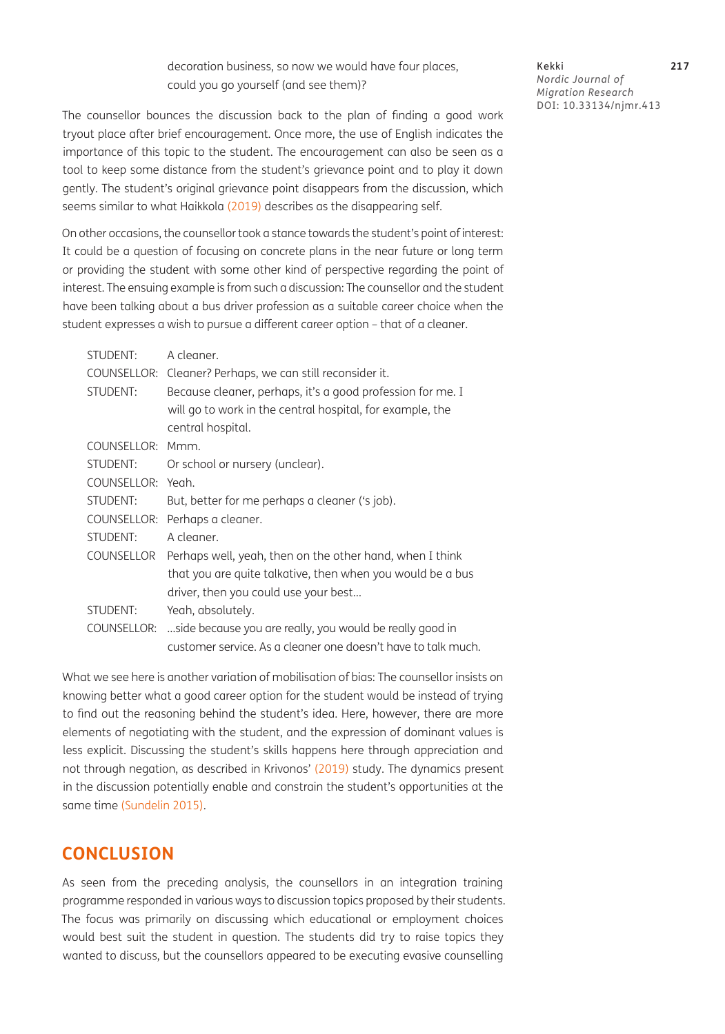decoration business, so now we would have four places, could you go yourself (and see them)?

Kekki **217** *Nordic Journal of Migration Research* DOI: [10.33134/njmr.413](https://doi.org/10.33134/njmr.413)

The counsellor bounces the discussion back to the plan of finding a good work tryout place after brief encouragement. Once more, the use of English indicates the importance of this topic to the student. The encouragement can also be seen as a tool to keep some distance from the student's grievance point and to play it down gently. The student's original grievance point disappears from the discussion, which seems similar to what Haikkola [\(2019\)](#page-14-14) describes as the disappearing self.

On other occasions, the counsellor took a stance towards the student's point of interest: It could be a question of focusing on concrete plans in the near future or long term or providing the student with some other kind of perspective regarding the point of interest. The ensuing example is from such a discussion: The counsellor and the student have been talking about a bus driver profession as a suitable career choice when the student expresses a wish to pursue a different career option – that of a cleaner.

| STUDENT:          | A cleaner.                                                    |
|-------------------|---------------------------------------------------------------|
| COUNSELLOR:       | Cleaner? Perhaps, we can still reconsider it.                 |
| STUDENT:          | Because cleaner, perhaps, it's a good profession for me. I    |
|                   | will go to work in the central hospital, for example, the     |
|                   | central hospital.                                             |
| COUNSELLOR:       | Mmm.                                                          |
| STUDENT:          | Or school or nursery (unclear).                               |
| COUNSELLOR:       | Yeah.                                                         |
| STUDENT:          | But, better for me perhaps a cleaner ('s job).                |
| COUNSELLOR:       | Perhaps a cleaner.                                            |
| STUDENT:          | A cleaner.                                                    |
| <b>COUNSELLOR</b> | Perhaps well, yeah, then on the other hand, when I think      |
|                   | that you are quite talkative, then when you would be a bus    |
|                   | driver, then you could use your best                          |
| STUDENT:          | Yeah, absolutely.                                             |
| COUNSELLOR:       | side because you are really, you would be really good in      |
|                   | customer service. As a cleaner one doesn't have to talk much. |

What we see here is another variation of mobilisation of bias: The counsellor insists on knowing better what a good career option for the student would be instead of trying to find out the reasoning behind the student's idea. Here, however, there are more elements of negotiating with the student, and the expression of dominant values is less explicit. Discussing the student's skills happens here through appreciation and not through negation, as described in Krivonos' ([2019](#page-14-15)) study. The dynamics present in the discussion potentially enable and constrain the student's opportunities at the same time (Sundelin 2015).

### **CONCLUSION**

As seen from the preceding analysis, the counsellors in an integration training programme responded in various ways to discussion topics proposed by their students. The focus was primarily on discussing which educational or employment choices would best suit the student in question. The students did try to raise topics they wanted to discuss, but the counsellors appeared to be executing evasive counselling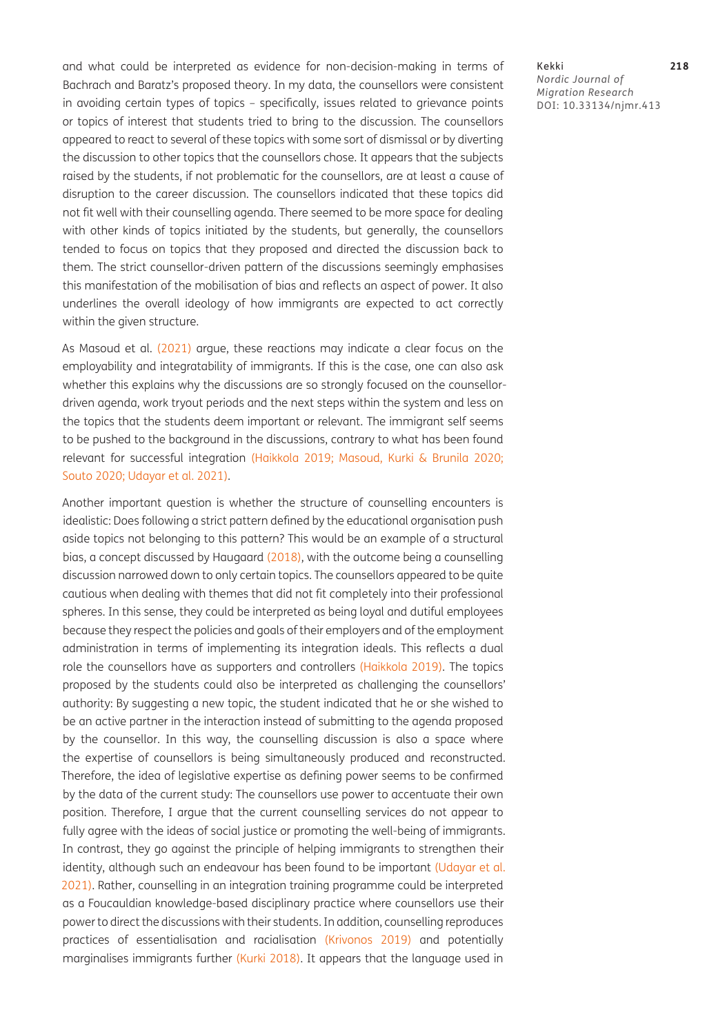and what could be interpreted as evidence for non-decision-making in terms of Bachrach and Baratz's proposed theory. In my data, the counsellors were consistent in avoiding certain types of topics – specifically, issues related to grievance points or topics of interest that students tried to bring to the discussion. The counsellors appeared to react to several of these topics with some sort of dismissal or by diverting the discussion to other topics that the counsellors chose. It appears that the subjects raised by the students, if not problematic for the counsellors, are at least a cause of disruption to the career discussion. The counsellors indicated that these topics did not fit well with their counselling agenda. There seemed to be more space for dealing with other kinds of topics initiated by the students, but generally, the counsellors tended to focus on topics that they proposed and directed the discussion back to them. The strict counsellor-driven pattern of the discussions seemingly emphasises this manifestation of the mobilisation of bias and reflects an aspect of power. It also underlines the overall ideology of how immigrants are expected to act correctly within the given structure.

As Masoud et al. [\(2021\)](#page-15-4) argue, these reactions may indicate a clear focus on the employability and integratability of immigrants. If this is the case, one can also ask whether this explains why the discussions are so strongly focused on the counsellordriven agenda, work tryout periods and the next steps within the system and less on the topics that the students deem important or relevant. The immigrant self seems to be pushed to the background in the discussions, contrary to what has been found relevant for successful integration ([Haikkola 2019;](#page-14-14) [Masoud, Kurki & Brunila 2020;](#page-15-6) [Souto 2020;](#page-15-8) [Udayar et al. 2021](#page-16-5)).

Another important question is whether the structure of counselling encounters is idealistic: Does following a strict pattern defined by the educational organisation push aside topics not belonging to this pattern? This would be an example of a structural bias, a concept discussed by Haugaard [\(2018\)](#page-14-9), with the outcome being a counselling discussion narrowed down to only certain topics. The counsellors appeared to be quite cautious when dealing with themes that did not fit completely into their professional spheres. In this sense, they could be interpreted as being loyal and dutiful employees because they respect the policies and goals of their employers and of the employment administration in terms of implementing its integration ideals. This reflects a dual role the counsellors have as supporters and controllers ([Haikkola 2019](#page-14-14)). The topics proposed by the students could also be interpreted as challenging the counsellors' authority: By suggesting a new topic, the student indicated that he or she wished to be an active partner in the interaction instead of submitting to the agenda proposed by the counsellor. In this way, the counselling discussion is also a space where the expertise of counsellors is being simultaneously produced and reconstructed. Therefore, the idea of legislative expertise as defining power seems to be confirmed by the data of the current study: The counsellors use power to accentuate their own position. Therefore, I argue that the current counselling services do not appear to fully agree with the ideas of social justice or promoting the well-being of immigrants. In contrast, they go against the principle of helping immigrants to strengthen their identity, although such an endeavour has been found to be important [\(Udayar et al.](#page-16-5) [2021](#page-16-5)). Rather, counselling in an integration training programme could be interpreted as a Foucauldian knowledge-based disciplinary practice where counsellors use their power to direct the discussions with their students. In addition, counselling reproduces practices of essentialisation and racialisation ([Krivonos 2019](#page-14-15)) and potentially marginalises immigrants further [\(Kurki 2018\)](#page-14-1). It appears that the language used in

Kekki **218** *Nordic Journal of Migration Research* DOI: [10.33134/njmr.413](https://doi.org/10.33134/njmr.413)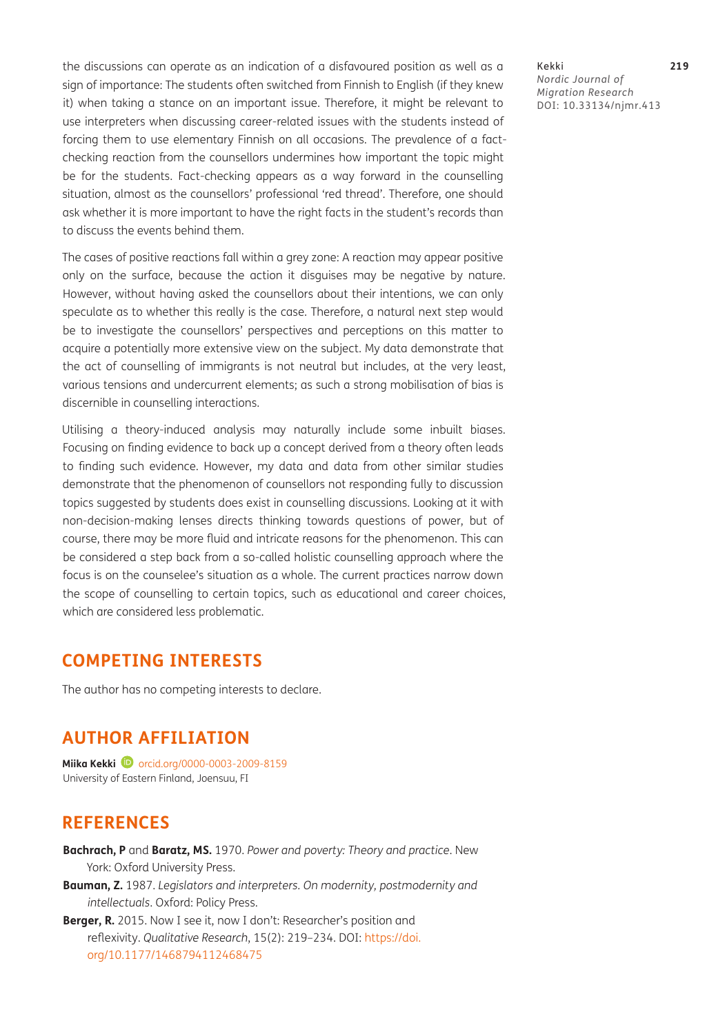the discussions can operate as an indication of a disfavoured position as well as a sign of importance: The students often switched from Finnish to English (if they knew it) when taking a stance on an important issue. Therefore, it might be relevant to use interpreters when discussing career-related issues with the students instead of forcing them to use elementary Finnish on all occasions. The prevalence of a factchecking reaction from the counsellors undermines how important the topic might be for the students. Fact-checking appears as a way forward in the counselling situation, almost as the counsellors' professional 'red thread'. Therefore, one should ask whether it is more important to have the right facts in the student's records than to discuss the events behind them.

The cases of positive reactions fall within a grey zone: A reaction may appear positive only on the surface, because the action it disguises may be negative by nature. However, without having asked the counsellors about their intentions, we can only speculate as to whether this really is the case. Therefore, a natural next step would be to investigate the counsellors' perspectives and perceptions on this matter to acquire a potentially more extensive view on the subject. My data demonstrate that the act of counselling of immigrants is not neutral but includes, at the very least, various tensions and undercurrent elements; as such a strong mobilisation of bias is discernible in counselling interactions.

Utilising a theory-induced analysis may naturally include some inbuilt biases. Focusing on finding evidence to back up a concept derived from a theory often leads to finding such evidence. However, my data and data from other similar studies demonstrate that the phenomenon of counsellors not responding fully to discussion topics suggested by students does exist in counselling discussions. Looking at it with non-decision-making lenses directs thinking towards questions of power, but of course, there may be more fluid and intricate reasons for the phenomenon. This can be considered a step back from a so-called holistic counselling approach where the focus is on the counselee's situation as a whole. The current practices narrow down the scope of counselling to certain topics, such as educational and career choices, which are considered less problematic.

# **COMPETING INTERESTS**

The author has no competing interests to declare.

# **AUTHOR AFFILIATION**

**Miika Kekki D** orcid.org/0000-0003-2009-8159 University of Eastern Finland, Joensuu, FI

# **REFERENCES**

<span id="page-13-0"></span>**Bachrach, P** and **Baratz, MS.** 1970. *Power and poverty: Theory and practice*. New York: Oxford University Press.

<span id="page-13-2"></span>**Bauman, Z.** 1987. *Legislators and interpreters. On modernity, postmodernity and intellectuals*. Oxford: Policy Press.

<span id="page-13-1"></span>**Berger, R.** 2015. Now I see it, now I don't: Researcher's position and reflexivity. *Qualitative Research*, 15(2): 219–234. DOI: [https://doi.](https://doi.org/10.1177/1468794112468475) [org/10.1177/1468794112468475](https://doi.org/10.1177/1468794112468475)

Kekki **219** *Nordic Journal of Migration Research* DOI: [10.33134/njmr.413](https://doi.org/10.33134/njmr.413)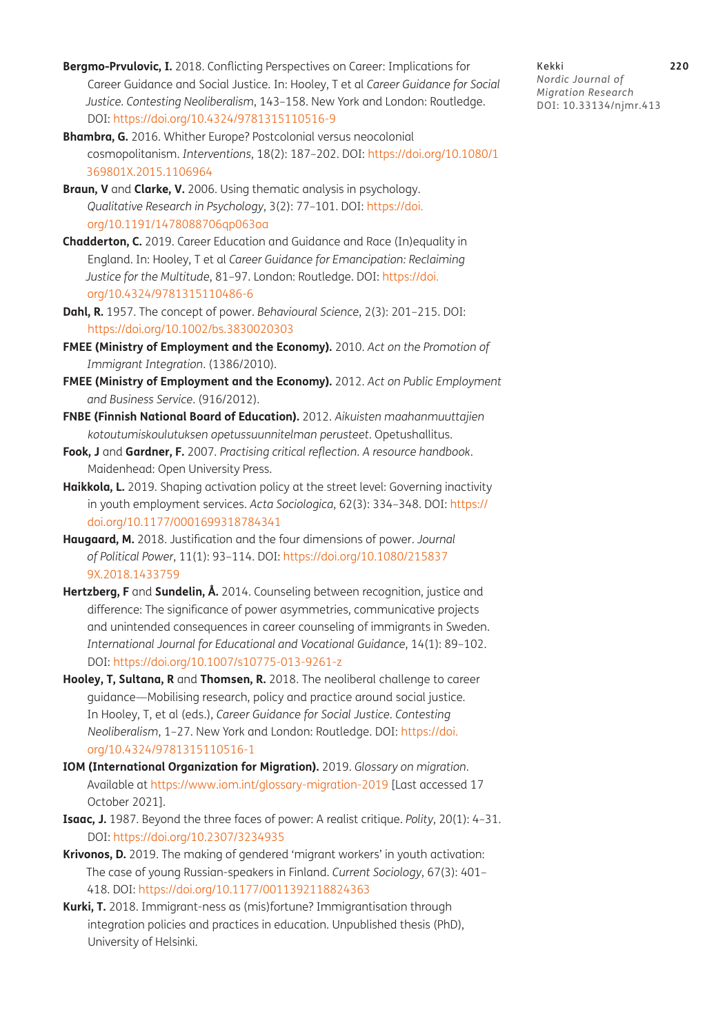- <span id="page-14-0"></span>**Bergmo-Prvulovic, I.** 2018. Conflicting Perspectives on Career: Implications for Career Guidance and Social Justice. In: Hooley, T et al *Career Guidance for Social Justice. Contesting Neoliberalism*, 143–158. New York and London: Routledge. DOI: <https://doi.org/10.4324/9781315110516-9>
- <span id="page-14-3"></span>**Bhambra, G.** 2016. Whither Europe? Postcolonial versus neocolonial cosmopolitanism. *Interventions*, 18(2): 187–202. DOI: [https://doi.org/10.1080/1](https://doi.org/10.1080/1369801X.2015.1106964) [369801X.2015.1106964](https://doi.org/10.1080/1369801X.2015.1106964)
- <span id="page-14-13"></span>**Braun, V** and **Clarke, V.** 2006. Using thematic analysis in psychology. *Qualitative Research in Psychology*, 3(2): 77–101. DOI: [https://doi.](https://doi.org/10.1191/1478088706qp063oa) [org/10.1191/1478088706qp063oa](https://doi.org/10.1191/1478088706qp063oa)
- <span id="page-14-7"></span>**Chadderton, C.** 2019. Career Education and Guidance and Race (In)equality in England. In: Hooley, T et al *Career Guidance for Emancipation: Reclaiming Justice for the Multitude*, 81–97. London: Routledge. DOI: [https://doi.](https://doi.org/10.4324/9781315110486-6) [org/10.4324/9781315110486-6](https://doi.org/10.4324/9781315110486-6)
- <span id="page-14-8"></span>**Dahl, R.** 1957. The concept of power. *Behavioural Science*, 2(3): 201–215. DOI: <https://doi.org/10.1002/bs.3830020303>
- <span id="page-14-4"></span>**FMEE (Ministry of Employment and the Economy).** 2010. *Act on the Promotion of Immigrant Integration*. (1386/2010).
- <span id="page-14-5"></span>**FMEE (Ministry of Employment and the Economy).** 2012. *Act on Public Employment and Business Service*. (916/2012).
- <span id="page-14-6"></span>**FNBE (Finnish National Board of Education).** 2012. *Aikuisten maahanmuuttajien kotoutumiskoulutuksen opetussuunnitelman perusteet*. Opetushallitus.
- <span id="page-14-12"></span>**Fook, J** and **Gardner, F.** 2007. *Practising critical reflection. A resource handbook*. Maidenhead: Open University Press.
- <span id="page-14-14"></span>Haikkola, L. 2019. Shaping activation policy at the street level: Governing inactivity in youth employment services. *Acta Sociologica*, 62(3): 334–348. DOI: [https://](https://doi.org/10.1177/0001699318784341) [doi.org/10.1177/0001699318784341](https://doi.org/10.1177/0001699318784341)
- <span id="page-14-9"></span>**Haugaard, M.** 2018. Justification and the four dimensions of power. *Journal of Political Power*, 11(1): 93–114. DOI: [https://doi.org/10.1080/215837](https://doi.org/10.1080/2158379X.2018.1433759) [9X.2018.1433759](https://doi.org/10.1080/2158379X.2018.1433759)
- **Hertzberg, F** and **Sundelin, Å.** 2014. Counseling between recognition, justice and difference: The significance of power asymmetries, communicative projects and unintended consequences in career counseling of immigrants in Sweden. *International Journal for Educational and Vocational Guidance*, 14(1): 89–102. DOI: <https://doi.org/10.1007/s10775-013-9261-z>
- <span id="page-14-2"></span>**Hooley, T, Sultana, R** and **Thomsen, R.** 2018. The neoliberal challenge to career guidance—Mobilising research, policy and practice around social justice*.* In Hooley, T, et al (eds.), *Career Guidance for Social Justice. Contesting Neoliberalism*, 1–27. New York and London: Routledge. DOI: [https://doi.](https://doi.org/10.4324/9781315110516-1) [org/10.4324/9781315110516-1](https://doi.org/10.4324/9781315110516-1)
- <span id="page-14-11"></span>**IOM (International Organization for Migration).** 2019. *Glossary on migration*. Available at<https://www.iom.int/glossary-migration-2019> [Last accessed 17 October 2021].
- <span id="page-14-10"></span>**Isaac, J.** 1987. Beyond the three faces of power: A realist critique. *Polity*, 20(1): 4–31. DOI: <https://doi.org/10.2307/3234935>
- <span id="page-14-15"></span>**Krivonos, D.** 2019. The making of gendered 'migrant workers' in youth activation: The case of young Russian-speakers in Finland. *Current Sociology*, 67(3): 401– 418. DOI: <https://doi.org/10.1177/0011392118824363>
- <span id="page-14-1"></span>**Kurki, T.** 2018. Immigrant-ness as (mis)fortune? Immigrantisation through integration policies and practices in education. Unpublished thesis (PhD), University of Helsinki.

Kekki **220** *Nordic Journal of Migration Research* DOI: [10.33134/njmr.413](https://doi.org/10.33134/njmr.413)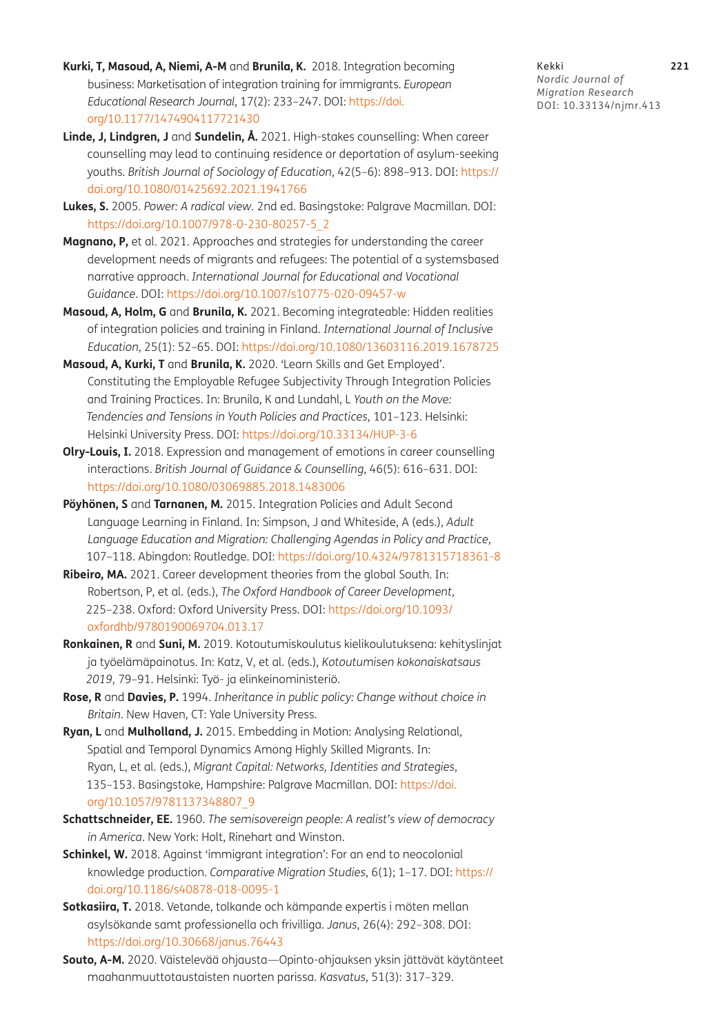- <span id="page-15-5"></span>**Kurki, T, Masoud, A, Niemi, A-M** and **Brunila, K.** 2018. Integration becoming business: Marketisation of integration training for immigrants. *European Educational Research Journal*, 17(2): 233–247. DOI: [https://doi.](https://doi.org/10.1177/1474904117721430) [org/10.1177/1474904117721430](https://doi.org/10.1177/1474904117721430)
- **Linde, J, Lindgren, J** and **Sundelin, Å.** 2021. High-stakes counselling: When career counselling may lead to continuing residence or deportation of asylum-seeking youths*. British Journal of Sociology of Education*, 42(5–6): 898–913. DOI: [https://](https://doi.org/10.1080/01425692.2021.1941766) [doi.org/10.1080/01425692.2021.1941766](https://doi.org/10.1080/01425692.2021.1941766)
- <span id="page-15-10"></span>**Lukes, S.** 2005. *Power: A radical view.* 2nd ed. Basingstoke: Palgrave Macmillan. DOI: [https://doi.org/10.1007/978-0-230-80257-5\\_2](https://doi.org/10.1007/978-0-230-80257-5_2)
- <span id="page-15-1"></span>**Magnano, P,** et al. 2021. Approaches and strategies for understanding the career development needs of migrants and refugees: The potential of a systemsbased narrative approach. *International Journal for Educational and Vocational Guidance*. DOI:<https://doi.org/10.1007/s10775-020-09457-w>
- <span id="page-15-4"></span>**Masoud, A, Holm, G** and **Brunila, K.** 2021. Becoming integrateable: Hidden realities of integration policies and training in Finland*. International Journal of Inclusive Education*, 25(1): 52–65. DOI: <https://doi.org/10.1080/13603116.2019.1678725>
- <span id="page-15-6"></span>**Masoud, A, Kurki, T** and **Brunila, K.** 2020. 'Learn Skills and Get Employed'. Constituting the Employable Refugee Subjectivity Through Integration Policies and Training Practices. In: Brunila, K and Lundahl, L *Youth on the Move: Tendencies and Tensions in Youth Policies and Practices*, 101–123. Helsinki: Helsinki University Press. DOI: <https://doi.org/10.33134/HUP-3-6>
- <span id="page-15-9"></span>**Olry-Louis, I.** 2018. Expression and management of emotions in career counselling interactions. *British Journal of Guidance & Counselling*, 46(5): 616–631. DOI: <https://doi.org/10.1080/03069885.2018.1483006>
- **Pöyhönen, S** and **Tarnanen, M.** 2015. Integration Policies and Adult Second Language Learning in Finland. In: Simpson, J and Whiteside, A (eds.), *Adult Language Education and Migration: Challenging Agendas in Policy and Practice*, 107–118. Abingdon: Routledge. DOI:<https://doi.org/10.4324/9781315718361-8>
- <span id="page-15-0"></span>**Ribeiro, MA.** 2021. Career development theories from the global South. In: Robertson, P, et al. (eds.), *The Oxford Handbook of Career Development*, 225–238. Oxford: Oxford University Press. DOI: [https://doi.org/10.1093/](https://doi.org/10.1093/oxfordhb/9780190069704.013.17) [oxfordhb/9780190069704.013.17](https://doi.org/10.1093/oxfordhb/9780190069704.013.17)
- <span id="page-15-7"></span>**Ronkainen, R** and **Suni, M.** 2019. Kotoutumiskoulutus kielikoulutuksena: kehityslinjat ja työelämäpainotus. In: Katz, V, et al. (eds.), *Kotoutumisen kokonaiskatsaus 2019*, 79–91. Helsinki: Työ- ja elinkeinoministeriö.
- <span id="page-15-11"></span>**Rose, R** and **Davies, P.** 1994. *Inheritance in public policy: Change without choice in Britain*. New Haven, CT: Yale University Press.
- <span id="page-15-2"></span>**Ryan, L** and **Mulholland, J.** 2015. Embedding in Motion: Analysing Relational, Spatial and Temporal Dynamics Among Highly Skilled Migrants. In: Ryan, L, et al. (eds.), *Migrant Capital: Networks, Identities and Strategies*, 135–153. Basingstoke, Hampshire: Palgrave Macmillan. DOI: [https://doi.](https://doi.org/10.1057/9781137348807_9) [org/10.1057/9781137348807\\_9](https://doi.org/10.1057/9781137348807_9)
- <span id="page-15-12"></span>**Schattschneider, EE.** 1960. *The semisovereign people: A realist's view of democracy in America*. New York: Holt, Rinehart and Winston.
- <span id="page-15-3"></span>**Schinkel, W.** 2018. Against 'immigrant integration': For an end to neocolonial knowledge production. *Comparative Migration Studies*, 6(1); 1–17. DOI: [https://](https://doi.org/10.1186/s40878-018-0095-1) [doi.org/10.1186/s40878-018-0095-1](https://doi.org/10.1186/s40878-018-0095-1)
- <span id="page-15-13"></span>**Sotkasiira, T.** 2018. Vetande, tolkande och kämpande expertis i möten mellan asylsökande samt professionella och frivilliga. *Janus*, 26(4): 292–308. DOI: <https://doi.org/10.30668/janus.76443>
- <span id="page-15-8"></span>**Souto, A-M.** 2020. Väistelevää ohjausta—Opinto-ohjauksen yksin jättävät käytänteet maahanmuuttotaustaisten nuorten parissa. *Kasvatus*, 51(3): 317–329.

Kekki **221** *Nordic Journal of Migration Research* DOI: [10.33134/njmr.413](https://doi.org/10.33134/njmr.413)